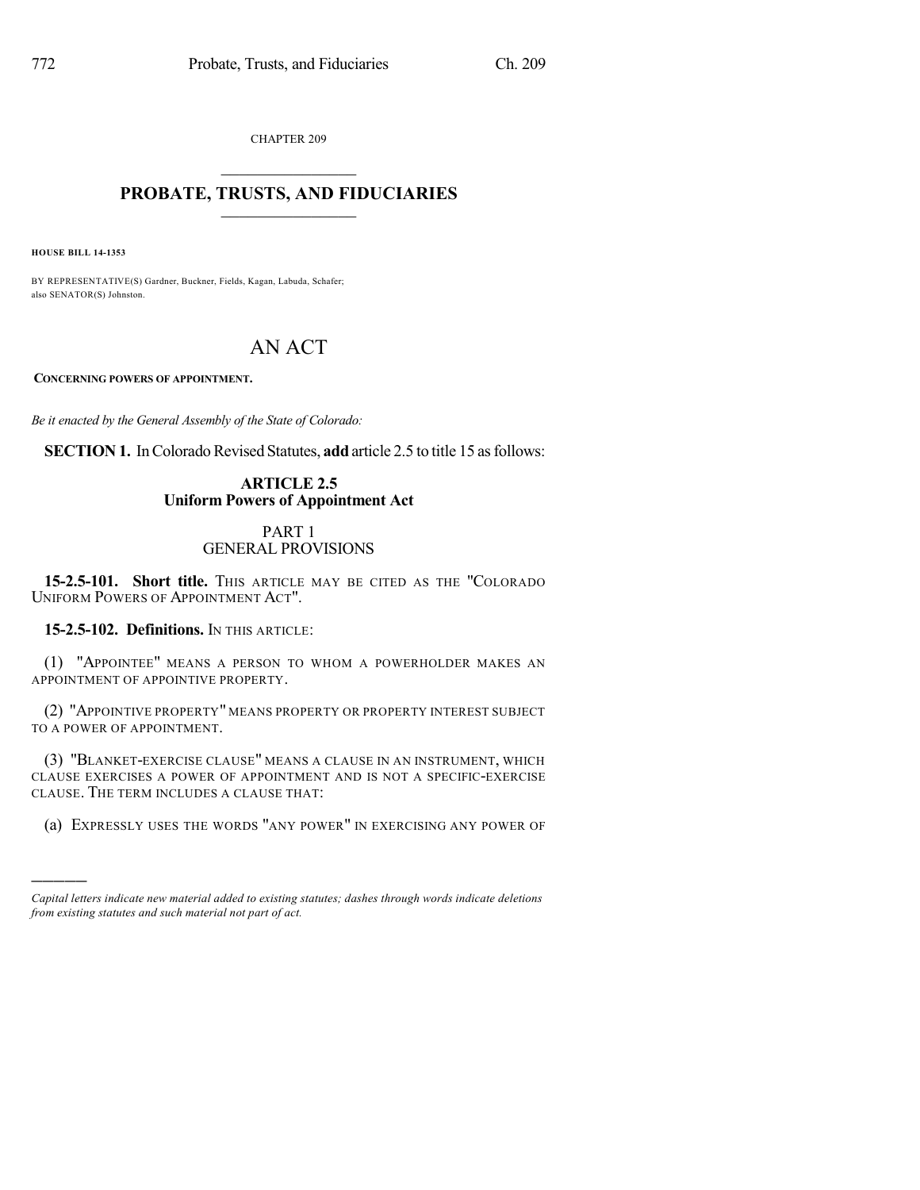CHAPTER 209

# $\overline{\phantom{a}}$  . The set of the set of the set of the set of the set of the set of the set of the set of the set of the set of the set of the set of the set of the set of the set of the set of the set of the set of the set o **PROBATE, TRUSTS, AND FIDUCIARIES**  $\overline{\phantom{a}}$

**HOUSE BILL 14-1353**

)))))

BY REPRESENTATIVE(S) Gardner, Buckner, Fields, Kagan, Labuda, Schafer; also SENATOR(S) Johnston.

# AN ACT

**CONCERNING POWERS OF APPOINTMENT.**

*Be it enacted by the General Assembly of the State of Colorado:*

**SECTION 1.** In Colorado Revised Statutes, **add** article 2.5 to title 15 as follows:

### **ARTICLE 2.5 Uniform Powers of Appointment Act**

### PART 1 GENERAL PROVISIONS

15-2.5-101. Short title. This article may be cited as the "Colorado UNIFORM POWERS OF APPOINTMENT ACT".

**15-2.5-102. Definitions.** IN THIS ARTICLE:

(1) "APPOINTEE" MEANS A PERSON TO WHOM A POWERHOLDER MAKES AN APPOINTMENT OF APPOINTIVE PROPERTY.

(2) "APPOINTIVE PROPERTY" MEANS PROPERTY OR PROPERTY INTEREST SUBJECT TO A POWER OF APPOINTMENT.

(3) "BLANKET-EXERCISE CLAUSE" MEANS A CLAUSE IN AN INSTRUMENT, WHICH CLAUSE EXERCISES A POWER OF APPOINTMENT AND IS NOT A SPECIFIC-EXERCISE CLAUSE. THE TERM INCLUDES A CLAUSE THAT:

(a) EXPRESSLY USES THE WORDS "ANY POWER" IN EXERCISING ANY POWER OF

*Capital letters indicate new material added to existing statutes; dashes through words indicate deletions from existing statutes and such material not part of act.*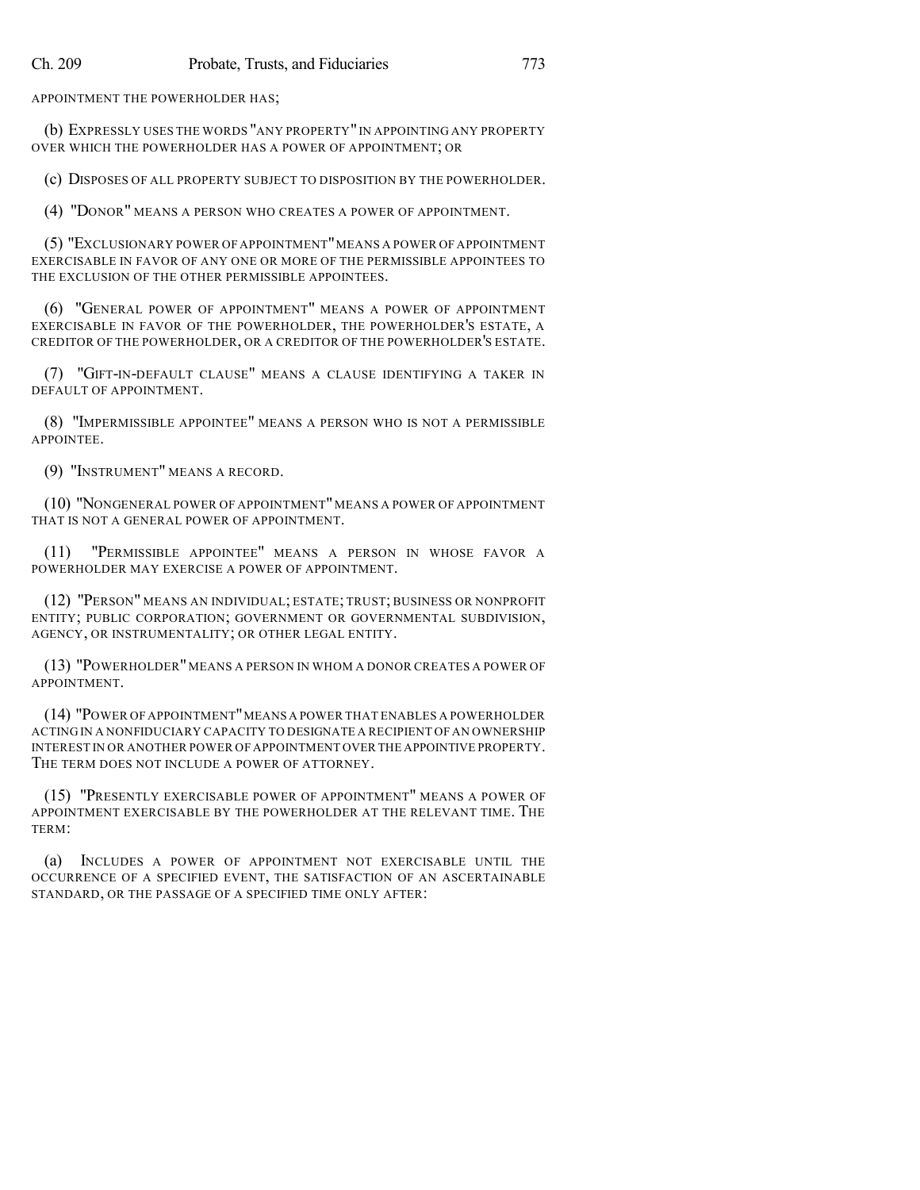APPOINTMENT THE POWERHOLDER HAS;

(b) EXPRESSLY USES THE WORDS "ANY PROPERTY"IN APPOINTING ANY PROPERTY OVER WHICH THE POWERHOLDER HAS A POWER OF APPOINTMENT; OR

(c) DISPOSES OF ALL PROPERTY SUBJECT TO DISPOSITION BY THE POWERHOLDER.

(4) "DONOR" MEANS A PERSON WHO CREATES A POWER OF APPOINTMENT.

(5) "EXCLUSIONARY POWER OF APPOINTMENT"MEANS A POWER OF APPOINTMENT EXERCISABLE IN FAVOR OF ANY ONE OR MORE OF THE PERMISSIBLE APPOINTEES TO THE EXCLUSION OF THE OTHER PERMISSIBLE APPOINTEES.

(6) "GENERAL POWER OF APPOINTMENT" MEANS A POWER OF APPOINTMENT EXERCISABLE IN FAVOR OF THE POWERHOLDER, THE POWERHOLDER'S ESTATE, A CREDITOR OF THE POWERHOLDER, OR A CREDITOR OF THE POWERHOLDER'S ESTATE.

(7) "GIFT-IN-DEFAULT CLAUSE" MEANS A CLAUSE IDENTIFYING A TAKER IN DEFAULT OF APPOINTMENT.

(8) "IMPERMISSIBLE APPOINTEE" MEANS A PERSON WHO IS NOT A PERMISSIBLE APPOINTEE.

(9) "INSTRUMENT" MEANS A RECORD.

(10) "NONGENERAL POWER OF APPOINTMENT"MEANS A POWER OF APPOINTMENT THAT IS NOT A GENERAL POWER OF APPOINTMENT.

(11) "PERMISSIBLE APPOINTEE" MEANS A PERSON IN WHOSE FAVOR A POWERHOLDER MAY EXERCISE A POWER OF APPOINTMENT.

(12) "PERSON" MEANS AN INDIVIDUAL; ESTATE; TRUST; BUSINESS OR NONPROFIT ENTITY; PUBLIC CORPORATION; GOVERNMENT OR GOVERNMENTAL SUBDIVISION, AGENCY, OR INSTRUMENTALITY; OR OTHER LEGAL ENTITY.

(13) "POWERHOLDER"MEANS A PERSON IN WHOM A DONOR CREATES A POWER OF APPOINTMENT.

(14) "POWER OF APPOINTMENT"MEANS A POWER THAT ENABLES A POWERHOLDER ACTING IN A NONFIDUCIARY CAPACITY TO DESIGNATE A RECIPIENT OFAN OWNERSHIP INTEREST IN OR ANOTHER POWER OF APPOINTMENT OVER THE APPOINTIVE PROPERTY. THE TERM DOES NOT INCLUDE A POWER OF ATTORNEY.

(15) "PRESENTLY EXERCISABLE POWER OF APPOINTMENT" MEANS A POWER OF APPOINTMENT EXERCISABLE BY THE POWERHOLDER AT THE RELEVANT TIME. THE TERM:

(a) INCLUDES A POWER OF APPOINTMENT NOT EXERCISABLE UNTIL THE OCCURRENCE OF A SPECIFIED EVENT, THE SATISFACTION OF AN ASCERTAINABLE STANDARD, OR THE PASSAGE OF A SPECIFIED TIME ONLY AFTER: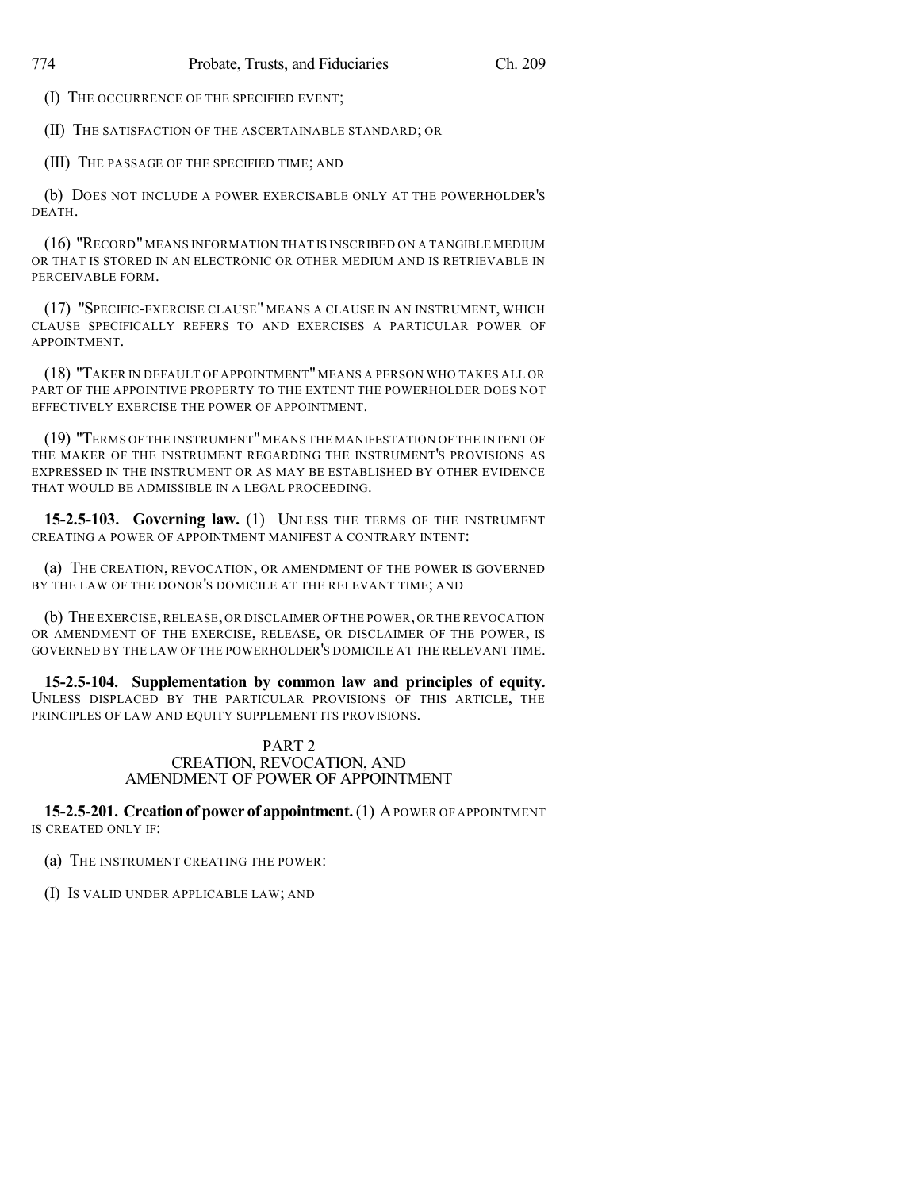(I) THE OCCURRENCE OF THE SPECIFIED EVENT;

(II) THE SATISFACTION OF THE ASCERTAINABLE STANDARD; OR

(III) THE PASSAGE OF THE SPECIFIED TIME; AND

(b) DOES NOT INCLUDE A POWER EXERCISABLE ONLY AT THE POWERHOLDER'S DEATH.

(16) "RECORD"MEANS INFORMATION THAT IS INSCRIBED ON A TANGIBLE MEDIUM OR THAT IS STORED IN AN ELECTRONIC OR OTHER MEDIUM AND IS RETRIEVABLE IN PERCEIVABLE FORM.

(17) "SPECIFIC-EXERCISE CLAUSE" MEANS A CLAUSE IN AN INSTRUMENT, WHICH CLAUSE SPECIFICALLY REFERS TO AND EXERCISES A PARTICULAR POWER OF APPOINTMENT.

(18) "TAKER IN DEFAULT OF APPOINTMENT"MEANS A PERSON WHO TAKES ALL OR PART OF THE APPOINTIVE PROPERTY TO THE EXTENT THE POWERHOLDER DOES NOT EFFECTIVELY EXERCISE THE POWER OF APPOINTMENT.

(19) "TERMS OF THE INSTRUMENT"MEANS THE MANIFESTATION OF THE INTENT OF THE MAKER OF THE INSTRUMENT REGARDING THE INSTRUMENT'S PROVISIONS AS EXPRESSED IN THE INSTRUMENT OR AS MAY BE ESTABLISHED BY OTHER EVIDENCE THAT WOULD BE ADMISSIBLE IN A LEGAL PROCEEDING.

**15-2.5-103. Governing law.** (1) UNLESS THE TERMS OF THE INSTRUMENT CREATING A POWER OF APPOINTMENT MANIFEST A CONTRARY INTENT:

(a) THE CREATION, REVOCATION, OR AMENDMENT OF THE POWER IS GOVERNED BY THE LAW OF THE DONOR'S DOMICILE AT THE RELEVANT TIME; AND

(b) THE EXERCISE,RELEASE, OR DISCLAIMER OF THE POWER, OR THE REVOCATION OR AMENDMENT OF THE EXERCISE, RELEASE, OR DISCLAIMER OF THE POWER, IS GOVERNED BY THE LAW OF THE POWERHOLDER'S DOMICILE AT THE RELEVANT TIME.

**15-2.5-104. Supplementation by common law and principles of equity.** UNLESS DISPLACED BY THE PARTICULAR PROVISIONS OF THIS ARTICLE, THE PRINCIPLES OF LAW AND EQUITY SUPPLEMENT ITS PROVISIONS.

#### PART 2 CREATION, REVOCATION, AND AMENDMENT OF POWER OF APPOINTMENT

**15-2.5-201. Creation of power of appointment.**(1) APOWER OF APPOINTMENT IS CREATED ONLY IF:

(a) THE INSTRUMENT CREATING THE POWER:

(I) IS VALID UNDER APPLICABLE LAW; AND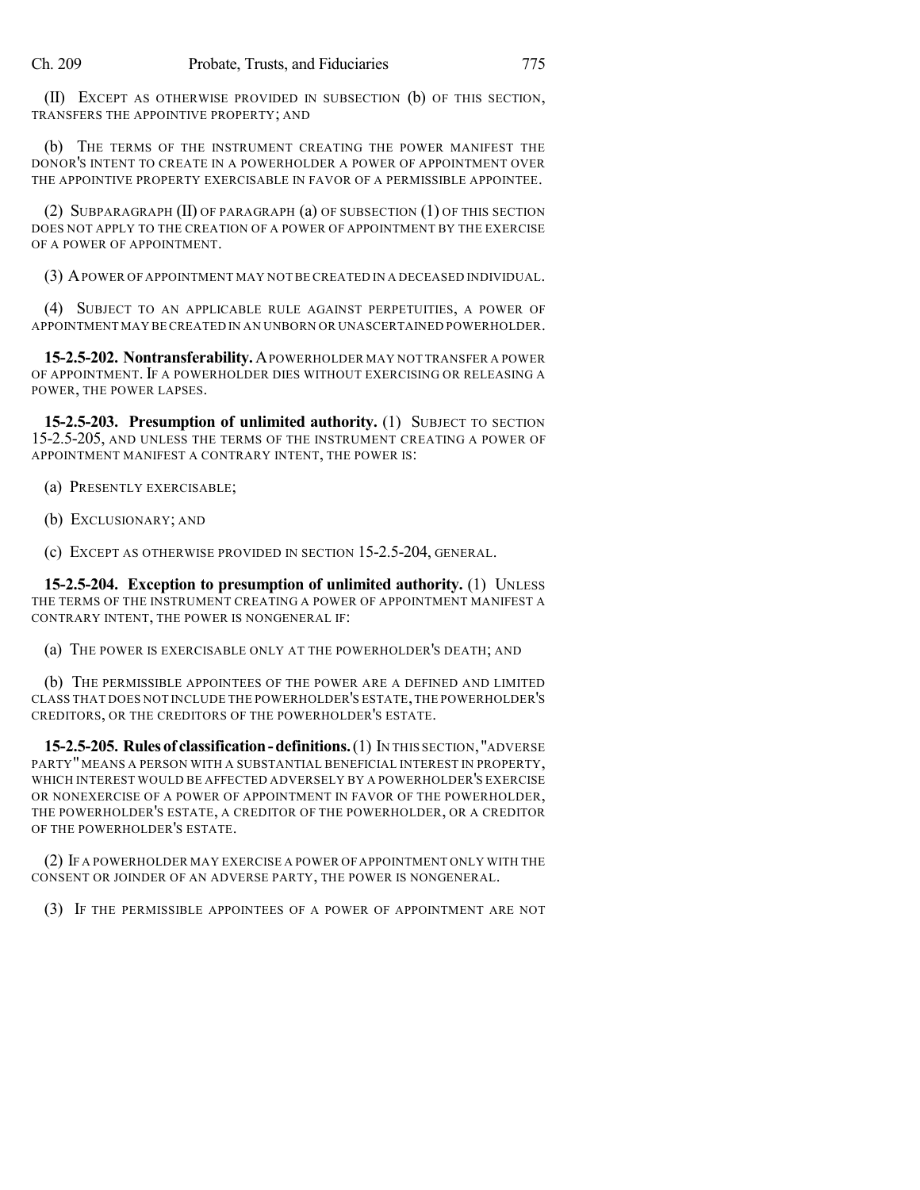(II) EXCEPT AS OTHERWISE PROVIDED IN SUBSECTION (b) OF THIS SECTION, TRANSFERS THE APPOINTIVE PROPERTY; AND

(b) THE TERMS OF THE INSTRUMENT CREATING THE POWER MANIFEST THE DONOR'S INTENT TO CREATE IN A POWERHOLDER A POWER OF APPOINTMENT OVER THE APPOINTIVE PROPERTY EXERCISABLE IN FAVOR OF A PERMISSIBLE APPOINTEE.

(2) SUBPARAGRAPH (II) OF PARAGRAPH (a) OF SUBSECTION (1) OF THIS SECTION DOES NOT APPLY TO THE CREATION OF A POWER OF APPOINTMENT BY THE EXERCISE OF A POWER OF APPOINTMENT.

(3) APOWER OF APPOINTMENT MAY NOT BE CREATED IN A DECEASED INDIVIDUAL.

(4) SUBJECT TO AN APPLICABLE RULE AGAINST PERPETUITIES, A POWER OF APPOINTMENT MAY BE CREATED IN AN UNBORN OR UNASCERTAINED POWERHOLDER.

**15-2.5-202. Nontransferability.**APOWERHOLDER MAY NOT TRANSFER A POWER OF APPOINTMENT. IF A POWERHOLDER DIES WITHOUT EXERCISING OR RELEASING A POWER, THE POWER LAPSES.

**15-2.5-203. Presumption of unlimited authority.** (1) SUBJECT TO SECTION 15-2.5-205, AND UNLESS THE TERMS OF THE INSTRUMENT CREATING A POWER OF APPOINTMENT MANIFEST A CONTRARY INTENT, THE POWER IS:

(a) PRESENTLY EXERCISABLE;

(b) EXCLUSIONARY; AND

(c) EXCEPT AS OTHERWISE PROVIDED IN SECTION 15-2.5-204, GENERAL.

**15-2.5-204. Exception to presumption of unlimited authority.** (1) UNLESS THE TERMS OF THE INSTRUMENT CREATING A POWER OF APPOINTMENT MANIFEST A CONTRARY INTENT, THE POWER IS NONGENERAL IF:

(a) THE POWER IS EXERCISABLE ONLY AT THE POWERHOLDER'S DEATH; AND

(b) THE PERMISSIBLE APPOINTEES OF THE POWER ARE A DEFINED AND LIMITED CLASS THAT DOES NOT INCLUDE THE POWERHOLDER'S ESTATE,THE POWERHOLDER'S CREDITORS, OR THE CREDITORS OF THE POWERHOLDER'S ESTATE.

**15-2.5-205. Rules of classification - definitions.** (1) IN THIS SECTION, "ADVERSE PARTY" MEANS A PERSON WITH A SUBSTANTIAL BENEFICIAL INTEREST IN PROPERTY, WHICH INTEREST WOULD BE AFFECTED ADVERSELY BY A POWERHOLDER'S EXERCISE OR NONEXERCISE OF A POWER OF APPOINTMENT IN FAVOR OF THE POWERHOLDER, THE POWERHOLDER'S ESTATE, A CREDITOR OF THE POWERHOLDER, OR A CREDITOR OF THE POWERHOLDER'S ESTATE.

(2) IF A POWERHOLDER MAY EXERCISE A POWER OF APPOINTMENT ONLY WITH THE CONSENT OR JOINDER OF AN ADVERSE PARTY, THE POWER IS NONGENERAL.

(3) IF THE PERMISSIBLE APPOINTEES OF A POWER OF APPOINTMENT ARE NOT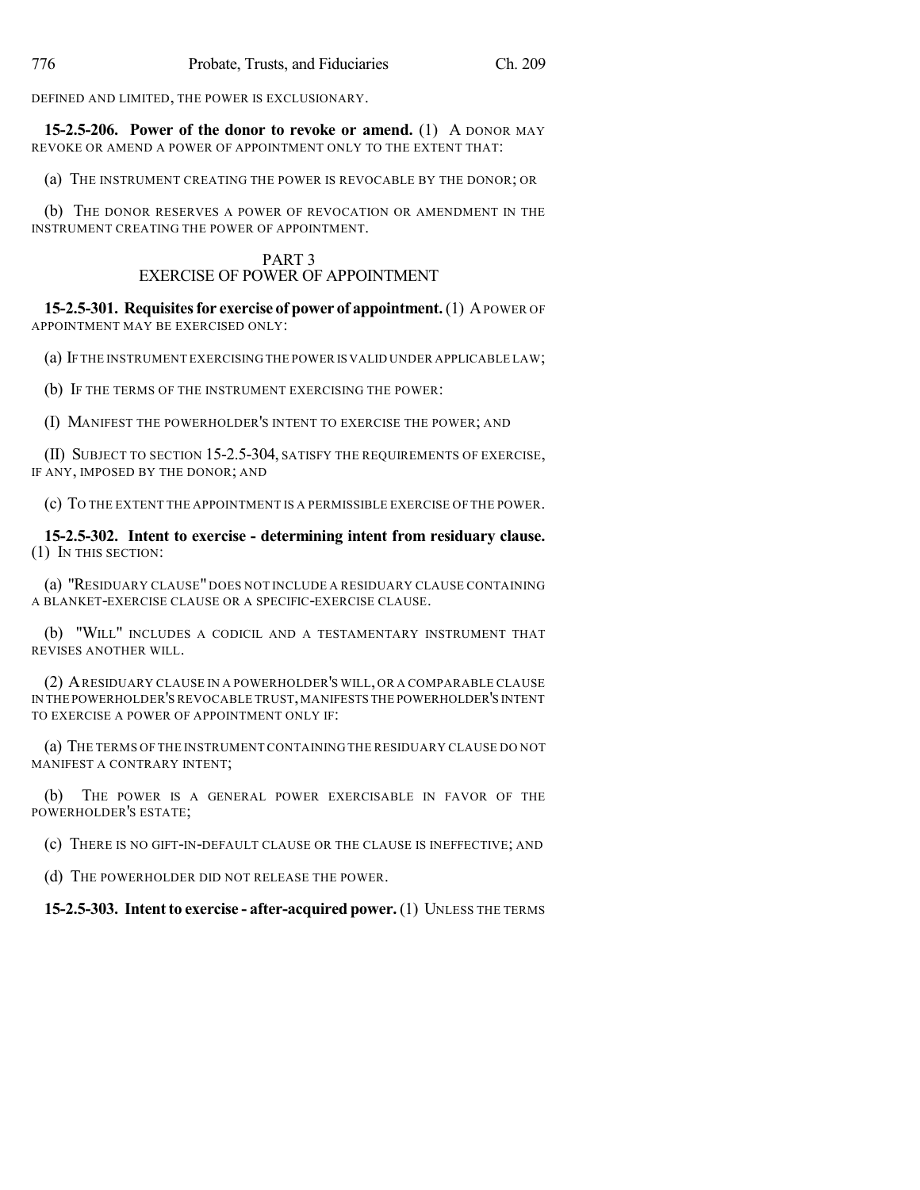DEFINED AND LIMITED, THE POWER IS EXCLUSIONARY.

**15-2.5-206. Power of the donor to revoke or amend.** (1) A DONOR MAY REVOKE OR AMEND A POWER OF APPOINTMENT ONLY TO THE EXTENT THAT:

(a) THE INSTRUMENT CREATING THE POWER IS REVOCABLE BY THE DONOR; OR

(b) THE DONOR RESERVES A POWER OF REVOCATION OR AMENDMENT IN THE INSTRUMENT CREATING THE POWER OF APPOINTMENT.

## PART 3 EXERCISE OF POWER OF APPOINTMENT

**15-2.5-301. Requisites for exercise of power of appointment.** (1) A POWER OF APPOINTMENT MAY BE EXERCISED ONLY:

(a) IF THE INSTRUMENT EXERCISING THE POWER IS VALID UNDER APPLICABLE LAW;

(b) IF THE TERMS OF THE INSTRUMENT EXERCISING THE POWER:

(I) MANIFEST THE POWERHOLDER'S INTENT TO EXERCISE THE POWER; AND

(II) SUBJECT TO SECTION 15-2.5-304, SATISFY THE REQUIREMENTS OF EXERCISE, IF ANY, IMPOSED BY THE DONOR; AND

(c) TO THE EXTENT THE APPOINTMENT IS A PERMISSIBLE EXERCISE OF THE POWER.

**15-2.5-302. Intent to exercise - determining intent from residuary clause.** (1) IN THIS SECTION:

(a) "RESIDUARY CLAUSE" DOES NOT INCLUDE A RESIDUARY CLAUSE CONTAINING A BLANKET-EXERCISE CLAUSE OR A SPECIFIC-EXERCISE CLAUSE.

(b) "WILL" INCLUDES A CODICIL AND A TESTAMENTARY INSTRUMENT THAT REVISES ANOTHER WILL.

(2) ARESIDUARY CLAUSE IN A POWERHOLDER'S WILL, OR A COMPARABLE CLAUSE IN THE POWERHOLDER'S REVOCABLE TRUST,MANIFESTS THE POWERHOLDER'S INTENT TO EXERCISE A POWER OF APPOINTMENT ONLY IF:

(a) THE TERMS OF THE INSTRUMENT CONTAINING THE RESIDUARY CLAUSE DO NOT MANIFEST A CONTRARY INTENT;

(b) THE POWER IS A GENERAL POWER EXERCISABLE IN FAVOR OF THE POWERHOLDER'S ESTATE;

(c) THERE IS NO GIFT-IN-DEFAULT CLAUSE OR THE CLAUSE IS INEFFECTIVE; AND

(d) THE POWERHOLDER DID NOT RELEASE THE POWER.

**15-2.5-303. Intentto exercise - after-acquired power.** (1) UNLESS THE TERMS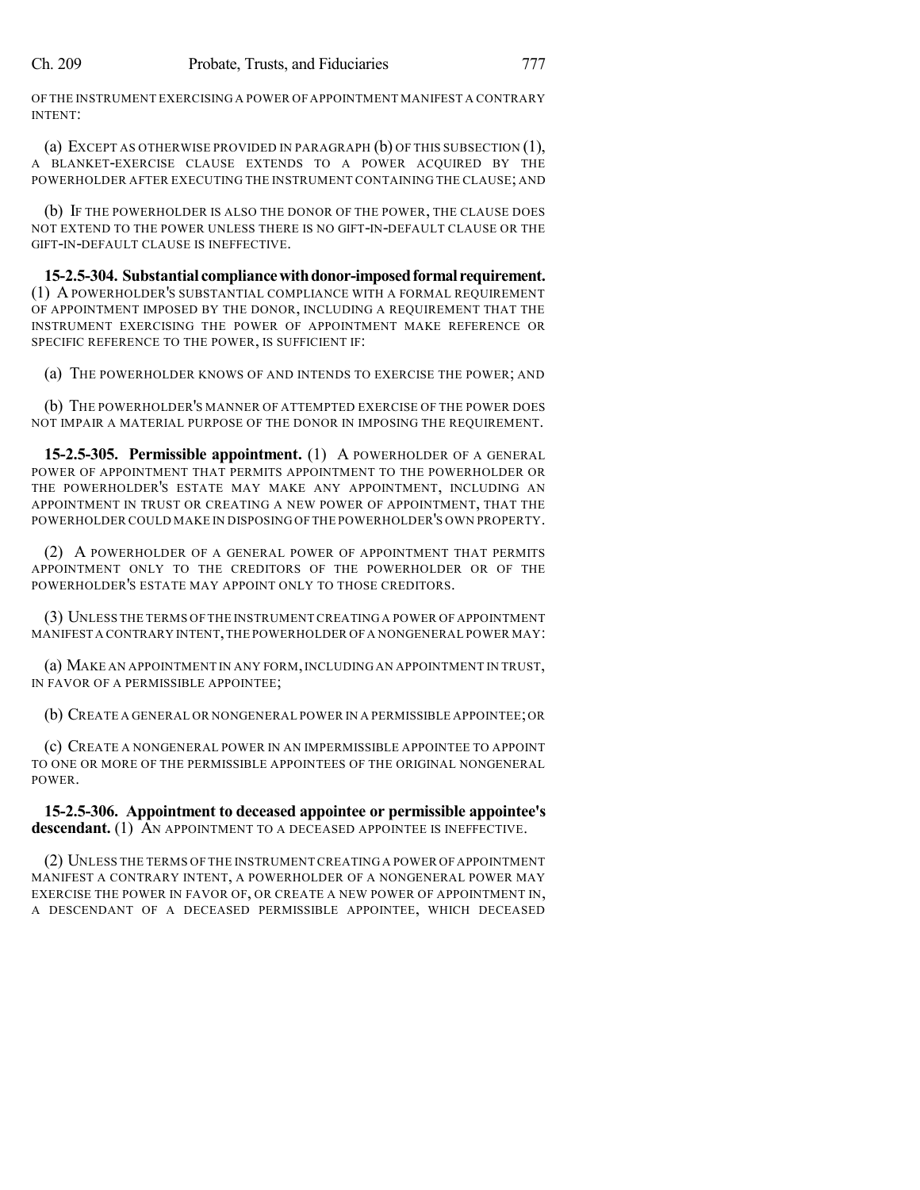OF THE INSTRUMENT EXERCISING A POWER OF APPOINTMENT MANIFEST A CONTRARY INTENT:

(a) EXCEPT AS OTHERWISE PROVIDED IN PARAGRAPH  $(b)$  OF THIS SUBSECTION  $(1)$ , A BLANKET-EXERCISE CLAUSE EXTENDS TO A POWER ACQUIRED BY THE POWERHOLDER AFTER EXECUTING THE INSTRUMENT CONTAINING THE CLAUSE; AND

(b) IF THE POWERHOLDER IS ALSO THE DONOR OF THE POWER, THE CLAUSE DOES NOT EXTEND TO THE POWER UNLESS THERE IS NO GIFT-IN-DEFAULT CLAUSE OR THE GIFT-IN-DEFAULT CLAUSE IS INEFFECTIVE.

**15-2.5-304. Substantial compliancewithdonor-imposedformal requirement.** (1) A POWERHOLDER'S SUBSTANTIAL COMPLIANCE WITH A FORMAL REQUIREMENT OF APPOINTMENT IMPOSED BY THE DONOR, INCLUDING A REQUIREMENT THAT THE INSTRUMENT EXERCISING THE POWER OF APPOINTMENT MAKE REFERENCE OR SPECIFIC REFERENCE TO THE POWER, IS SUFFICIENT IF:

(a) THE POWERHOLDER KNOWS OF AND INTENDS TO EXERCISE THE POWER; AND

(b) THE POWERHOLDER'S MANNER OF ATTEMPTED EXERCISE OF THE POWER DOES NOT IMPAIR A MATERIAL PURPOSE OF THE DONOR IN IMPOSING THE REQUIREMENT.

**15-2.5-305. Permissible appointment.** (1) A POWERHOLDER OF A GENERAL POWER OF APPOINTMENT THAT PERMITS APPOINTMENT TO THE POWERHOLDER OR THE POWERHOLDER'S ESTATE MAY MAKE ANY APPOINTMENT, INCLUDING AN APPOINTMENT IN TRUST OR CREATING A NEW POWER OF APPOINTMENT, THAT THE POWERHOLDER COULD MAKE IN DISPOSING OF THE POWERHOLDER'S OWN PROPERTY.

(2) A POWERHOLDER OF A GENERAL POWER OF APPOINTMENT THAT PERMITS APPOINTMENT ONLY TO THE CREDITORS OF THE POWERHOLDER OR OF THE POWERHOLDER'S ESTATE MAY APPOINT ONLY TO THOSE CREDITORS.

(3) UNLESS THE TERMS OF THE INSTRUMENT CREATING A POWER OF APPOINTMENT MANIFEST A CONTRARY INTENT,THE POWERHOLDER OF A NONGENERAL POWER MAY:

(a) MAKE AN APPOINTMENT IN ANY FORM,INCLUDING AN APPOINTMENT IN TRUST, IN FAVOR OF A PERMISSIBLE APPOINTEE;

(b) CREATE A GENERAL OR NONGENERAL POWER IN A PERMISSIBLE APPOINTEE;OR

(c) CREATE A NONGENERAL POWER IN AN IMPERMISSIBLE APPOINTEE TO APPOINT TO ONE OR MORE OF THE PERMISSIBLE APPOINTEES OF THE ORIGINAL NONGENERAL POWER.

**15-2.5-306. Appointment to deceased appointee or permissible appointee's descendant.** (1) AN APPOINTMENT TO A DECEASED APPOINTEE IS INEFFECTIVE.

(2) UNLESS THE TERMS OF THE INSTRUMENT CREATING A POWER OF APPOINTMENT MANIFEST A CONTRARY INTENT, A POWERHOLDER OF A NONGENERAL POWER MAY EXERCISE THE POWER IN FAVOR OF, OR CREATE A NEW POWER OF APPOINTMENT IN, A DESCENDANT OF A DECEASED PERMISSIBLE APPOINTEE, WHICH DECEASED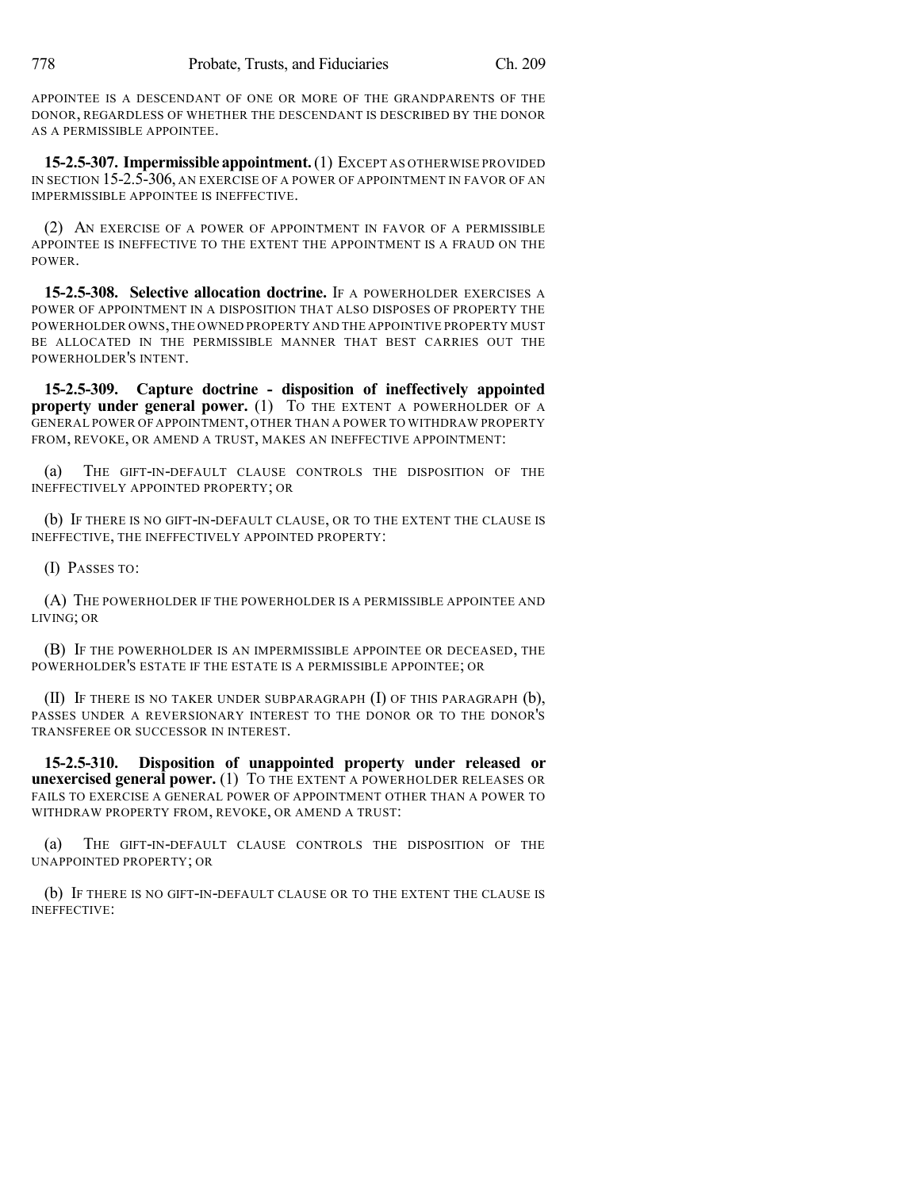APPOINTEE IS A DESCENDANT OF ONE OR MORE OF THE GRANDPARENTS OF THE DONOR, REGARDLESS OF WHETHER THE DESCENDANT IS DESCRIBED BY THE DONOR AS A PERMISSIBLE APPOINTEE.

**15-2.5-307. Impermissible appointment.**(1) EXCEPT AS OTHERWISE PROVIDED IN SECTION 15-2.5-306, AN EXERCISE OF A POWER OF APPOINTMENT IN FAVOR OF AN IMPERMISSIBLE APPOINTEE IS INEFFECTIVE.

(2) AN EXERCISE OF A POWER OF APPOINTMENT IN FAVOR OF A PERMISSIBLE APPOINTEE IS INEFFECTIVE TO THE EXTENT THE APPOINTMENT IS A FRAUD ON THE POWER.

**15-2.5-308. Selective allocation doctrine.** IF A POWERHOLDER EXERCISES A POWER OF APPOINTMENT IN A DISPOSITION THAT ALSO DISPOSES OF PROPERTY THE POWERHOLDER OWNS,THE OWNED PROPERTY AND THE APPOINTIVE PROPERTY MUST BE ALLOCATED IN THE PERMISSIBLE MANNER THAT BEST CARRIES OUT THE POWERHOLDER'S INTENT.

**15-2.5-309. Capture doctrine - disposition of ineffectively appointed property under general power.** (1) To THE EXTENT A POWERHOLDER OF A GENERAL POWER OF APPOINTMENT, OTHER THAN A POWER TO WITHDRAW PROPERTY FROM, REVOKE, OR AMEND A TRUST, MAKES AN INEFFECTIVE APPOINTMENT:

(a) THE GIFT-IN-DEFAULT CLAUSE CONTROLS THE DISPOSITION OF THE INEFFECTIVELY APPOINTED PROPERTY; OR

(b) IF THERE IS NO GIFT-IN-DEFAULT CLAUSE, OR TO THE EXTENT THE CLAUSE IS INEFFECTIVE, THE INEFFECTIVELY APPOINTED PROPERTY:

(I) PASSES TO:

(A) THE POWERHOLDER IF THE POWERHOLDER IS A PERMISSIBLE APPOINTEE AND LIVING; OR

(B) IF THE POWERHOLDER IS AN IMPERMISSIBLE APPOINTEE OR DECEASED, THE POWERHOLDER'S ESTATE IF THE ESTATE IS A PERMISSIBLE APPOINTEE; OR

(II) IF THERE IS NO TAKER UNDER SUBPARAGRAPH (I) OF THIS PARAGRAPH (b), PASSES UNDER A REVERSIONARY INTEREST TO THE DONOR OR TO THE DONOR'S TRANSFEREE OR SUCCESSOR IN INTEREST.

**15-2.5-310. Disposition of unappointed property under released or unexercised general power.** (1) TO THE EXTENT A POWERHOLDER RELEASES OR FAILS TO EXERCISE A GENERAL POWER OF APPOINTMENT OTHER THAN A POWER TO WITHDRAW PROPERTY FROM, REVOKE, OR AMEND A TRUST:

(a) THE GIFT-IN-DEFAULT CLAUSE CONTROLS THE DISPOSITION OF THE UNAPPOINTED PROPERTY; OR

(b) IF THERE IS NO GIFT-IN-DEFAULT CLAUSE OR TO THE EXTENT THE CLAUSE IS INEFFECTIVE: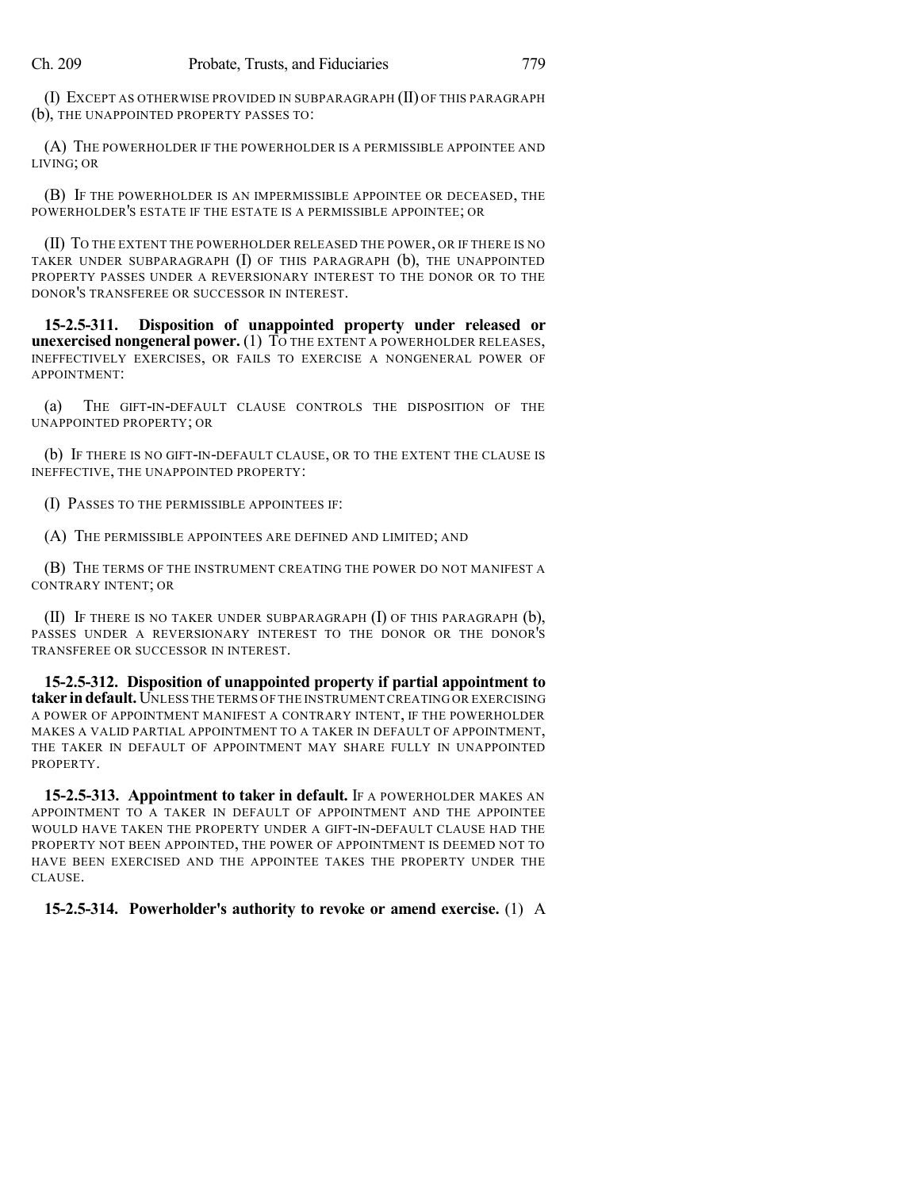(I) EXCEPT AS OTHERWISE PROVIDED IN SUBPARAGRAPH (II) OF THIS PARAGRAPH (b), THE UNAPPOINTED PROPERTY PASSES TO:

(A) THE POWERHOLDER IF THE POWERHOLDER IS A PERMISSIBLE APPOINTEE AND LIVING; OR

(B) IF THE POWERHOLDER IS AN IMPERMISSIBLE APPOINTEE OR DECEASED, THE POWERHOLDER'S ESTATE IF THE ESTATE IS A PERMISSIBLE APPOINTEE; OR

(II) TO THE EXTENT THE POWERHOLDER RELEASED THE POWER, OR IF THERE IS NO TAKER UNDER SUBPARAGRAPH (I) OF THIS PARAGRAPH (b), THE UNAPPOINTED PROPERTY PASSES UNDER A REVERSIONARY INTEREST TO THE DONOR OR TO THE DONOR'S TRANSFEREE OR SUCCESSOR IN INTEREST.

**15-2.5-311. Disposition of unappointed property under released or unexercised nongeneral power.** (1) TO THE EXTENT A POWERHOLDER RELEASES, INEFFECTIVELY EXERCISES, OR FAILS TO EXERCISE A NONGENERAL POWER OF APPOINTMENT:

(a) THE GIFT-IN-DEFAULT CLAUSE CONTROLS THE DISPOSITION OF THE UNAPPOINTED PROPERTY; OR

(b) IF THERE IS NO GIFT-IN-DEFAULT CLAUSE, OR TO THE EXTENT THE CLAUSE IS INEFFECTIVE, THE UNAPPOINTED PROPERTY:

(I) PASSES TO THE PERMISSIBLE APPOINTEES IF:

(A) THE PERMISSIBLE APPOINTEES ARE DEFINED AND LIMITED; AND

(B) THE TERMS OF THE INSTRUMENT CREATING THE POWER DO NOT MANIFEST A CONTRARY INTENT; OR

(II) IF THERE IS NO TAKER UNDER SUBPARAGRAPH  $(I)$  OF THIS PARAGRAPH  $(b)$ , PASSES UNDER A REVERSIONARY INTEREST TO THE DONOR OR THE DONOR'S TRANSFEREE OR SUCCESSOR IN INTEREST.

**15-2.5-312. Disposition of unappointed property if partial appointment to taker indefault.**UNLESS THE TERMS OF THE INSTRUMENT CREATING OR EXERCISING A POWER OF APPOINTMENT MANIFEST A CONTRARY INTENT, IF THE POWERHOLDER MAKES A VALID PARTIAL APPOINTMENT TO A TAKER IN DEFAULT OF APPOINTMENT, THE TAKER IN DEFAULT OF APPOINTMENT MAY SHARE FULLY IN UNAPPOINTED PROPERTY.

**15-2.5-313. Appointment to taker in default.** IF A POWERHOLDER MAKES AN APPOINTMENT TO A TAKER IN DEFAULT OF APPOINTMENT AND THE APPOINTEE WOULD HAVE TAKEN THE PROPERTY UNDER A GIFT-IN-DEFAULT CLAUSE HAD THE PROPERTY NOT BEEN APPOINTED, THE POWER OF APPOINTMENT IS DEEMED NOT TO HAVE BEEN EXERCISED AND THE APPOINTEE TAKES THE PROPERTY UNDER THE CLAUSE.

**15-2.5-314. Powerholder's authority to revoke or amend exercise.** (1) A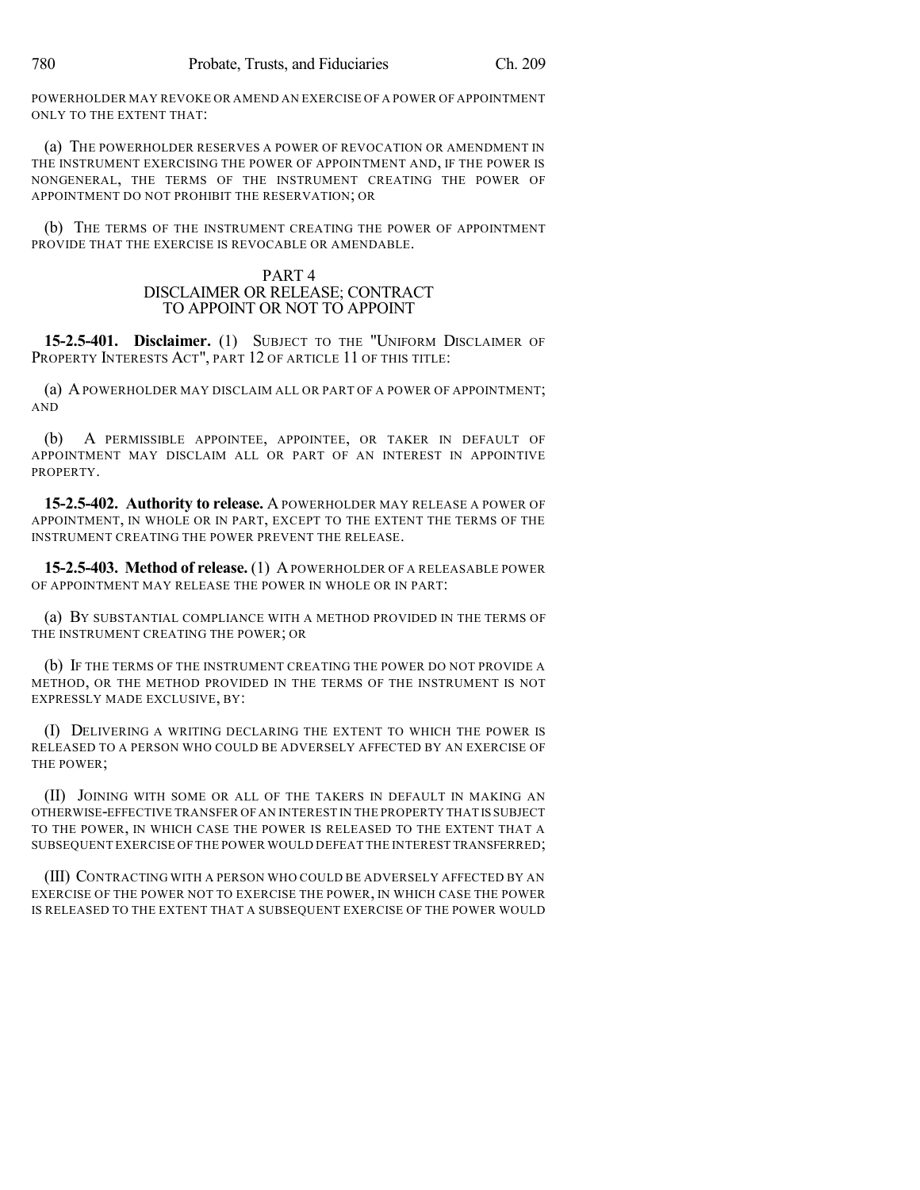POWERHOLDER MAY REVOKE OR AMEND AN EXERCISE OF A POWER OF APPOINTMENT ONLY TO THE EXTENT THAT:

(a) THE POWERHOLDER RESERVES A POWER OF REVOCATION OR AMENDMENT IN THE INSTRUMENT EXERCISING THE POWER OF APPOINTMENT AND, IF THE POWER IS NONGENERAL, THE TERMS OF THE INSTRUMENT CREATING THE POWER OF APPOINTMENT DO NOT PROHIBIT THE RESERVATION; OR

(b) THE TERMS OF THE INSTRUMENT CREATING THE POWER OF APPOINTMENT PROVIDE THAT THE EXERCISE IS REVOCABLE OR AMENDABLE.

#### PART 4 DISCLAIMER OR RELEASE; CONTRACT TO APPOINT OR NOT TO APPOINT

**15-2.5-401. Disclaimer.** (1) SUBJECT TO THE "UNIFORM DISCLAIMER OF PROPERTY INTERESTS ACT", PART 12 OF ARTICLE 11 OF THIS TITLE:

(a) APOWERHOLDER MAY DISCLAIM ALL OR PART OF A POWER OF APPOINTMENT; AND

(b) A PERMISSIBLE APPOINTEE, APPOINTEE, OR TAKER IN DEFAULT OF APPOINTMENT MAY DISCLAIM ALL OR PART OF AN INTEREST IN APPOINTIVE PROPERTY.

**15-2.5-402. Authority to release.** A POWERHOLDER MAY RELEASE A POWER OF APPOINTMENT, IN WHOLE OR IN PART, EXCEPT TO THE EXTENT THE TERMS OF THE INSTRUMENT CREATING THE POWER PREVENT THE RELEASE.

**15-2.5-403. Method of release.** (1) APOWERHOLDER OF A RELEASABLE POWER OF APPOINTMENT MAY RELEASE THE POWER IN WHOLE OR IN PART:

(a) BY SUBSTANTIAL COMPLIANCE WITH A METHOD PROVIDED IN THE TERMS OF THE INSTRUMENT CREATING THE POWER; OR

(b) IF THE TERMS OF THE INSTRUMENT CREATING THE POWER DO NOT PROVIDE A METHOD, OR THE METHOD PROVIDED IN THE TERMS OF THE INSTRUMENT IS NOT EXPRESSLY MADE EXCLUSIVE, BY:

(I) DELIVERING A WRITING DECLARING THE EXTENT TO WHICH THE POWER IS RELEASED TO A PERSON WHO COULD BE ADVERSELY AFFECTED BY AN EXERCISE OF THE POWER;

(II) JOINING WITH SOME OR ALL OF THE TAKERS IN DEFAULT IN MAKING AN OTHERWISE-EFFECTIVE TRANSFER OF AN INTEREST IN THE PROPERTY THAT IS SUBJECT TO THE POWER, IN WHICH CASE THE POWER IS RELEASED TO THE EXTENT THAT A SUBSEQUENT EXERCISE OF THE POWER WOULD DEFEAT THE INTEREST TRANSFERRED;

(III) CONTRACTING WITH A PERSON WHO COULD BE ADVERSELY AFFECTED BY AN EXERCISE OF THE POWER NOT TO EXERCISE THE POWER, IN WHICH CASE THE POWER IS RELEASED TO THE EXTENT THAT A SUBSEQUENT EXERCISE OF THE POWER WOULD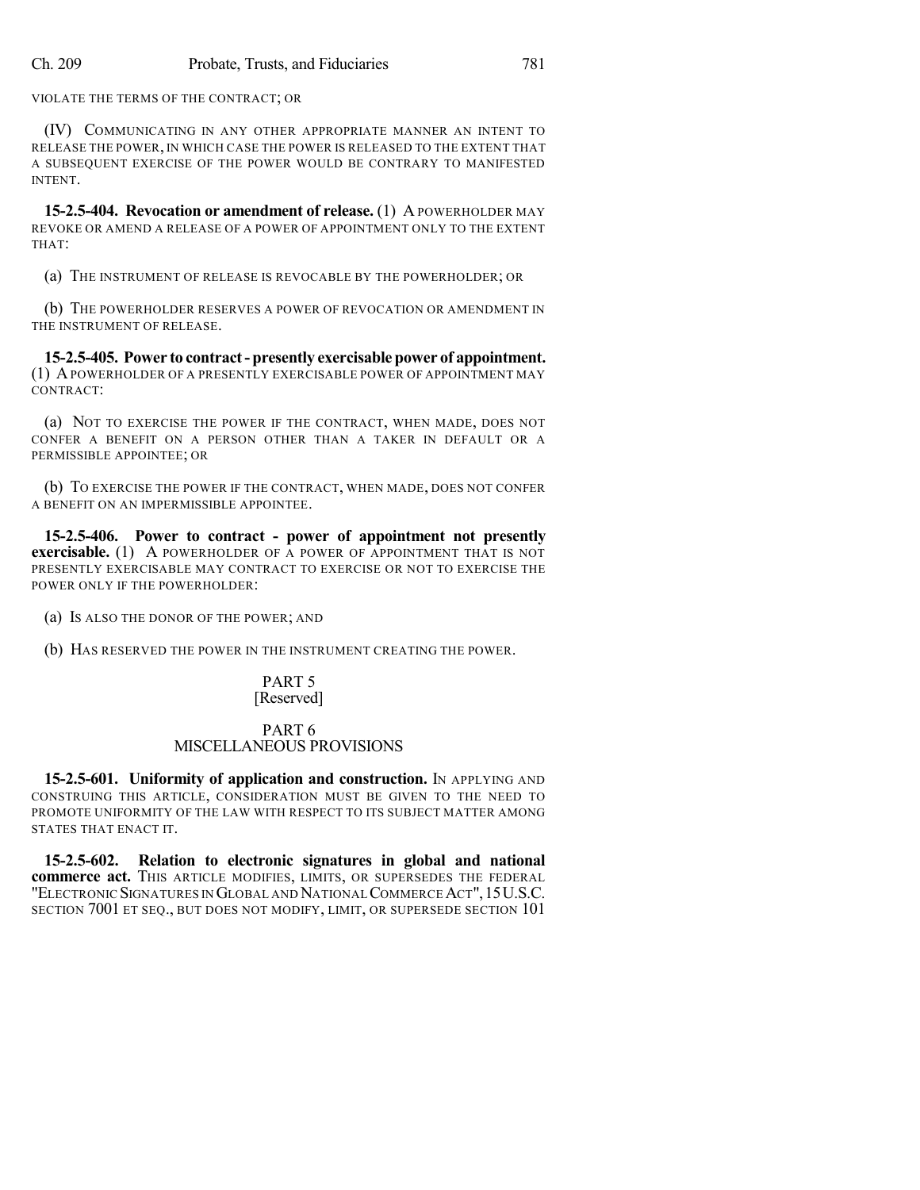VIOLATE THE TERMS OF THE CONTRACT; OR

(IV) COMMUNICATING IN ANY OTHER APPROPRIATE MANNER AN INTENT TO RELEASE THE POWER, IN WHICH CASE THE POWER IS RELEASED TO THE EXTENT THAT A SUBSEQUENT EXERCISE OF THE POWER WOULD BE CONTRARY TO MANIFESTED INTENT.

**15-2.5-404. Revocation or amendment of release.** (1) A POWERHOLDER MAY REVOKE OR AMEND A RELEASE OF A POWER OF APPOINTMENT ONLY TO THE EXTENT THAT:

(a) THE INSTRUMENT OF RELEASE IS REVOCABLE BY THE POWERHOLDER; OR

(b) THE POWERHOLDER RESERVES A POWER OF REVOCATION OR AMENDMENT IN THE INSTRUMENT OF RELEASE.

**15-2.5-405. Power to contract- presently exercisable power of appointment.** (1) APOWERHOLDER OF A PRESENTLY EXERCISABLE POWER OF APPOINTMENT MAY CONTRACT:

(a) NOT TO EXERCISE THE POWER IF THE CONTRACT, WHEN MADE, DOES NOT CONFER A BENEFIT ON A PERSON OTHER THAN A TAKER IN DEFAULT OR A PERMISSIBLE APPOINTEE; OR

(b) TO EXERCISE THE POWER IF THE CONTRACT, WHEN MADE, DOES NOT CONFER A BENEFIT ON AN IMPERMISSIBLE APPOINTEE.

**15-2.5-406. Power to contract - power of appointment not presently exercisable.** (1) A POWERHOLDER OF A POWER OF APPOINTMENT THAT IS NOT PRESENTLY EXERCISABLE MAY CONTRACT TO EXERCISE OR NOT TO EXERCISE THE POWER ONLY IF THE POWERHOLDER:

(a) IS ALSO THE DONOR OF THE POWER; AND

(b) HAS RESERVED THE POWER IN THE INSTRUMENT CREATING THE POWER.

#### PART 5 [Reserved]

#### PART 6 MISCELLANEOUS PROVISIONS

**15-2.5-601. Uniformity of application and construction.** IN APPLYING AND CONSTRUING THIS ARTICLE, CONSIDERATION MUST BE GIVEN TO THE NEED TO PROMOTE UNIFORMITY OF THE LAW WITH RESPECT TO ITS SUBJECT MATTER AMONG STATES THAT ENACT IT.

**15-2.5-602. Relation to electronic signatures in global and national commerce act.** THIS ARTICLE MODIFIES, LIMITS, OR SUPERSEDES THE FEDERAL "ELECTRONIC SIGNATURES IN GLOBAL AND NATIONALCOMMERCEACT",15U.S.C. SECTION 7001 ET SEQ., BUT DOES NOT MODIFY, LIMIT, OR SUPERSEDE SECTION 101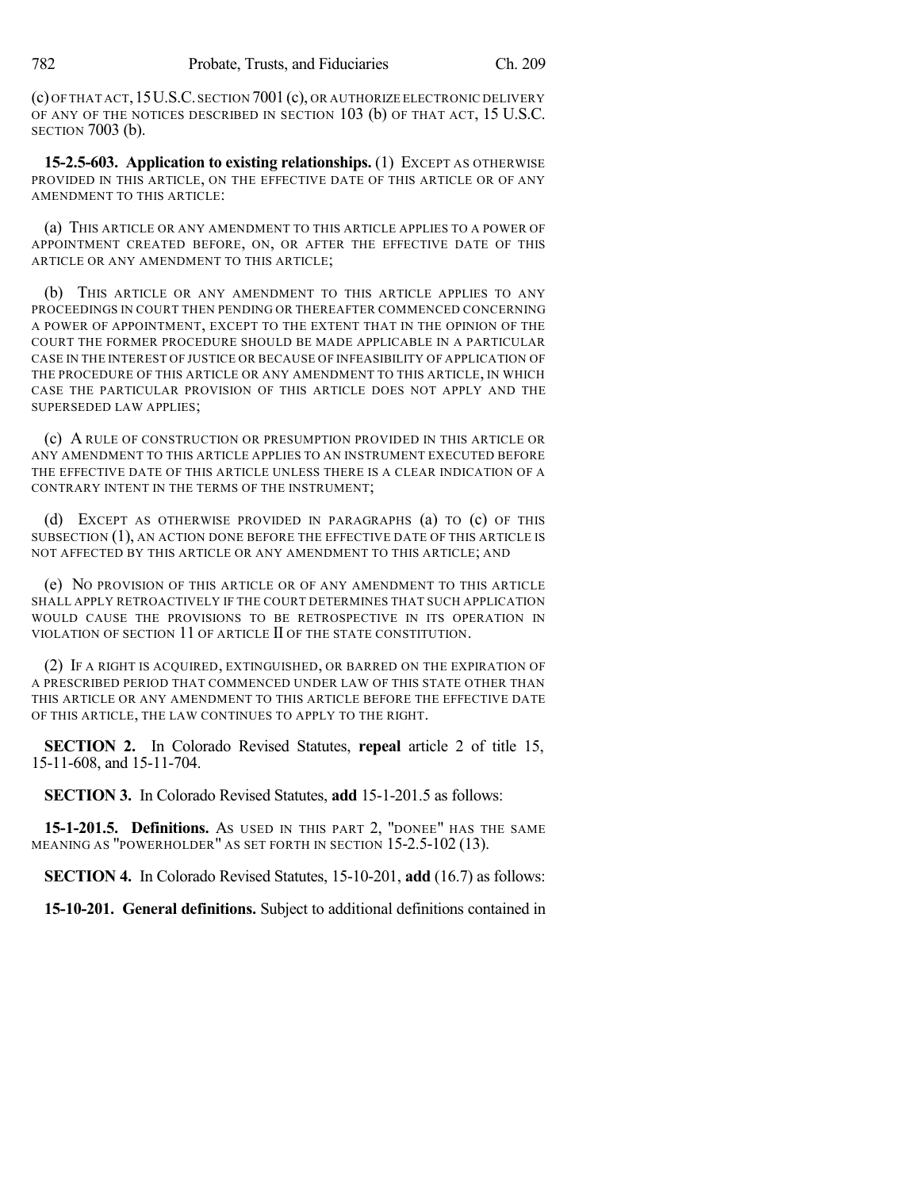(c) OFTHAT ACT,15U.S.C.SECTION 7001 (c), OR AUTHORIZE ELECTRONIC DELIVERY OF ANY OF THE NOTICES DESCRIBED IN SECTION 103 (b) OF THAT ACT, 15 U.S.C. SECTION 7003 (b).

**15-2.5-603. Application to existing relationships.** (1) EXCEPT AS OTHERWISE PROVIDED IN THIS ARTICLE, ON THE EFFECTIVE DATE OF THIS ARTICLE OR OF ANY AMENDMENT TO THIS ARTICLE:

(a) THIS ARTICLE OR ANY AMENDMENT TO THIS ARTICLE APPLIES TO A POWER OF APPOINTMENT CREATED BEFORE, ON, OR AFTER THE EFFECTIVE DATE OF THIS ARTICLE OR ANY AMENDMENT TO THIS ARTICLE;

(b) THIS ARTICLE OR ANY AMENDMENT TO THIS ARTICLE APPLIES TO ANY PROCEEDINGS IN COURT THEN PENDING OR THEREAFTER COMMENCED CONCERNING A POWER OF APPOINTMENT, EXCEPT TO THE EXTENT THAT IN THE OPINION OF THE COURT THE FORMER PROCEDURE SHOULD BE MADE APPLICABLE IN A PARTICULAR CASE IN THE INTEREST OF JUSTICE OR BECAUSE OF INFEASIBILITY OF APPLICATION OF THE PROCEDURE OF THIS ARTICLE OR ANY AMENDMENT TO THIS ARTICLE, IN WHICH CASE THE PARTICULAR PROVISION OF THIS ARTICLE DOES NOT APPLY AND THE SUPERSEDED LAW APPLIES;

(c) A RULE OF CONSTRUCTION OR PRESUMPTION PROVIDED IN THIS ARTICLE OR ANY AMENDMENT TO THIS ARTICLE APPLIES TO AN INSTRUMENT EXECUTED BEFORE THE EFFECTIVE DATE OF THIS ARTICLE UNLESS THERE IS A CLEAR INDICATION OF A CONTRARY INTENT IN THE TERMS OF THE INSTRUMENT;

(d) EXCEPT AS OTHERWISE PROVIDED IN PARAGRAPHS (a) TO (c) OF THIS SUBSECTION (1), AN ACTION DONE BEFORE THE EFFECTIVE DATE OF THIS ARTICLE IS NOT AFFECTED BY THIS ARTICLE OR ANY AMENDMENT TO THIS ARTICLE; AND

(e) NO PROVISION OF THIS ARTICLE OR OF ANY AMENDMENT TO THIS ARTICLE SHALL APPLY RETROACTIVELY IF THE COURT DETERMINES THAT SUCH APPLICATION WOULD CAUSE THE PROVISIONS TO BE RETROSPECTIVE IN ITS OPERATION IN VIOLATION OF SECTION 11 OF ARTICLE II OF THE STATE CONSTITUTION.

(2) IF A RIGHT IS ACQUIRED, EXTINGUISHED, OR BARRED ON THE EXPIRATION OF A PRESCRIBED PERIOD THAT COMMENCED UNDER LAW OF THIS STATE OTHER THAN THIS ARTICLE OR ANY AMENDMENT TO THIS ARTICLE BEFORE THE EFFECTIVE DATE OF THIS ARTICLE, THE LAW CONTINUES TO APPLY TO THE RIGHT.

**SECTION 2.** In Colorado Revised Statutes, **repeal** article 2 of title 15, 15-11-608, and 15-11-704.

**SECTION 3.** In Colorado Revised Statutes, **add** 15-1-201.5 as follows:

**15-1-201.5. Definitions.** AS USED IN THIS PART 2, "DONEE" HAS THE SAME MEANING AS "POWERHOLDER" AS SET FORTH IN SECTION 15-2.5-102 (13).

**SECTION 4.** In Colorado Revised Statutes, 15-10-201, **add** (16.7) as follows:

**15-10-201. General definitions.** Subject to additional definitions contained in